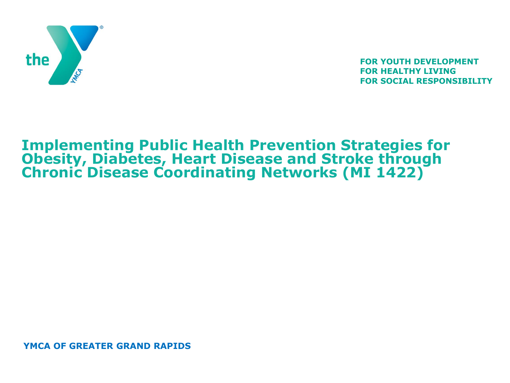

**FOR YOUTH DEVELOPMENT FOR HEALTHY LIVING FOR SOCIAL RESPONSIBILITY**

#### **Implementing Public Health Prevention Strategies for Obesity, Diabetes, Heart Disease and Stroke through Chronic Disease Coordinating Networks (MI 1422)**

**YMCA OF GREATER GRAND RAPIDS**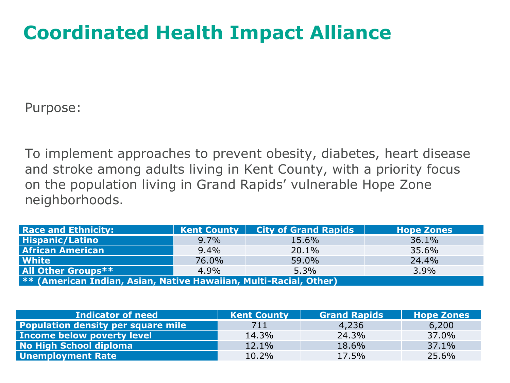### **Coordinated Health Impact Alliance**

Purpose:

To implement approaches to prevent obesity, diabetes, heart disease and stroke among adults living in Kent County, with a priority focus on the population living in Grand Rapids' vulnerable Hope Zone neighborhoods.

| <b>Race and Ethnicity:</b>                                               |         | <b>Kent County   City of Grand Rapids</b> | <b>Hope Zones</b> |  |  |
|--------------------------------------------------------------------------|---------|-------------------------------------------|-------------------|--|--|
| <b>Hispanic/Latino</b>                                                   | $9.7\%$ | 15.6%                                     | 36.1%             |  |  |
| <b>African American</b>                                                  | $9.4\%$ | 20.1%                                     | 35.6%             |  |  |
| White                                                                    | 76.0%   | 59.0%                                     | 24.4%             |  |  |
| <b>All Other Groups**</b>                                                | 4.9%    | 5.3%                                      | 3.9%              |  |  |
| <b>** (American Indian, Asian, Native Hawaiian, Multi-Racial, Other)</b> |         |                                           |                   |  |  |

| <b>Indicator of need</b>                  | <b>Kent County</b> | <b>Grand Rapids</b> | <b>Hope Zones</b> |
|-------------------------------------------|--------------------|---------------------|-------------------|
| <b>Population density per square mile</b> | 711                | 4,236               | 6,200             |
| Income below poverty level                | 14.3%              | 24.3%               | 37.0%             |
| No High School diploma                    | 12.1%              | 18.6%               | 37.1%             |
| <b>Unemployment Rate</b>                  | 10.2%              | 17.5%               | 25.6%             |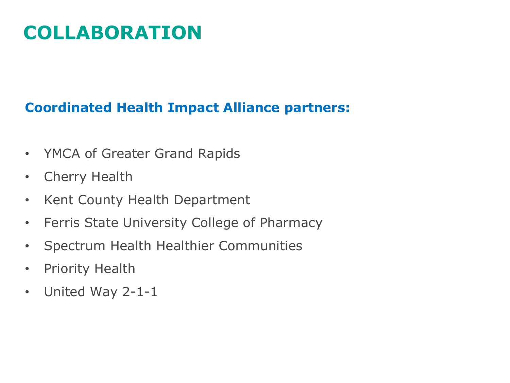## **COLLABORATION**

#### **Coordinated Health Impact Alliance partners:**

- YMCA of Greater Grand Rapids
- Cherry Health
- Kent County Health Department
- Ferris State University College of Pharmacy
- Spectrum Health Healthier Communities
- Priority Health
- United Way 2-1-1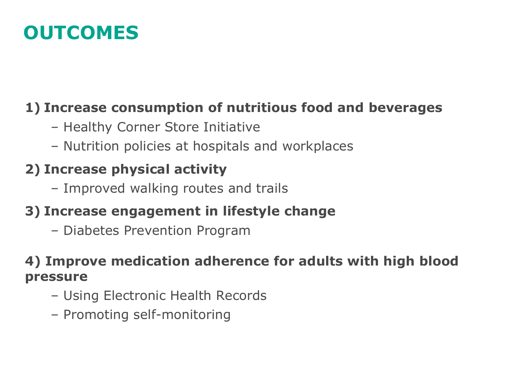### **OUTCOMES**

#### **1) Increase consumption of nutritious food and beverages**

- Healthy Corner Store Initiative
- Nutrition policies at hospitals and workplaces

### **2) Increase physical activity**

– Improved walking routes and trails

#### **3) Increase engagement in lifestyle change**

– Diabetes Prevention Program

#### **4) Improve medication adherence for adults with high blood pressure**

- Using Electronic Health Records
- Promoting self-monitoring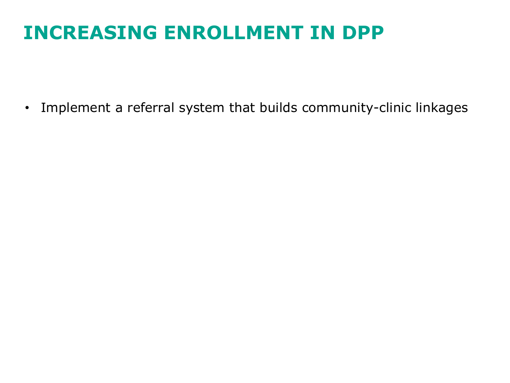### **INCREASING ENROLLMENT IN DPP**

• Implement a referral system that builds community-clinic linkages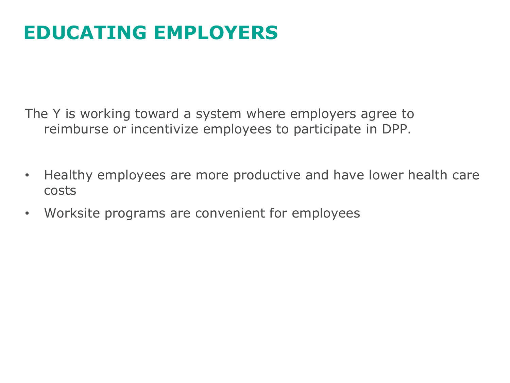### **EDUCATING EMPLOYERS**

The Y is working toward a system where employers agree to reimburse or incentivize employees to participate in DPP.

- Healthy employees are more productive and have lower health care costs
- Worksite programs are convenient for employees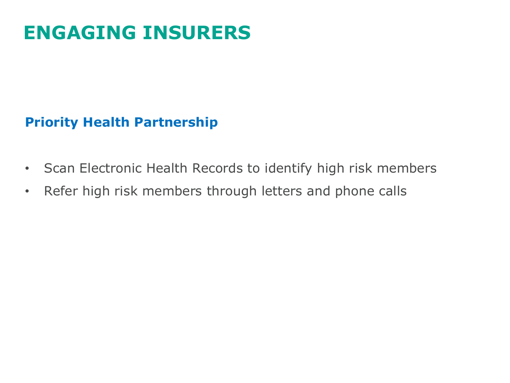### **ENGAGING INSURERS**

#### **Priority Health Partnership**

- Scan Electronic Health Records to identify high risk members
- Refer high risk members through letters and phone calls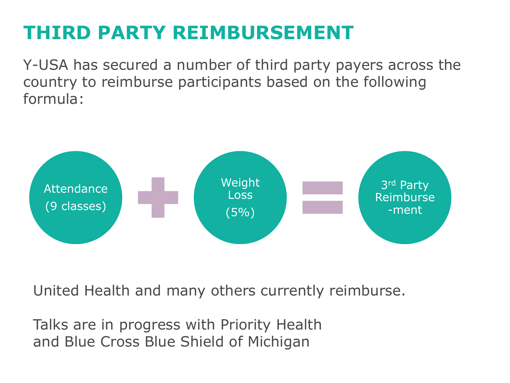### **THIRD PARTY REIMBURSEMENT**

Y-USA has secured a number of third party payers across the country to reimburse participants based on the following formula:



United Health and many others currently reimburse.

Talks are in progress with Priority Health and Blue Cross Blue Shield of Michigan